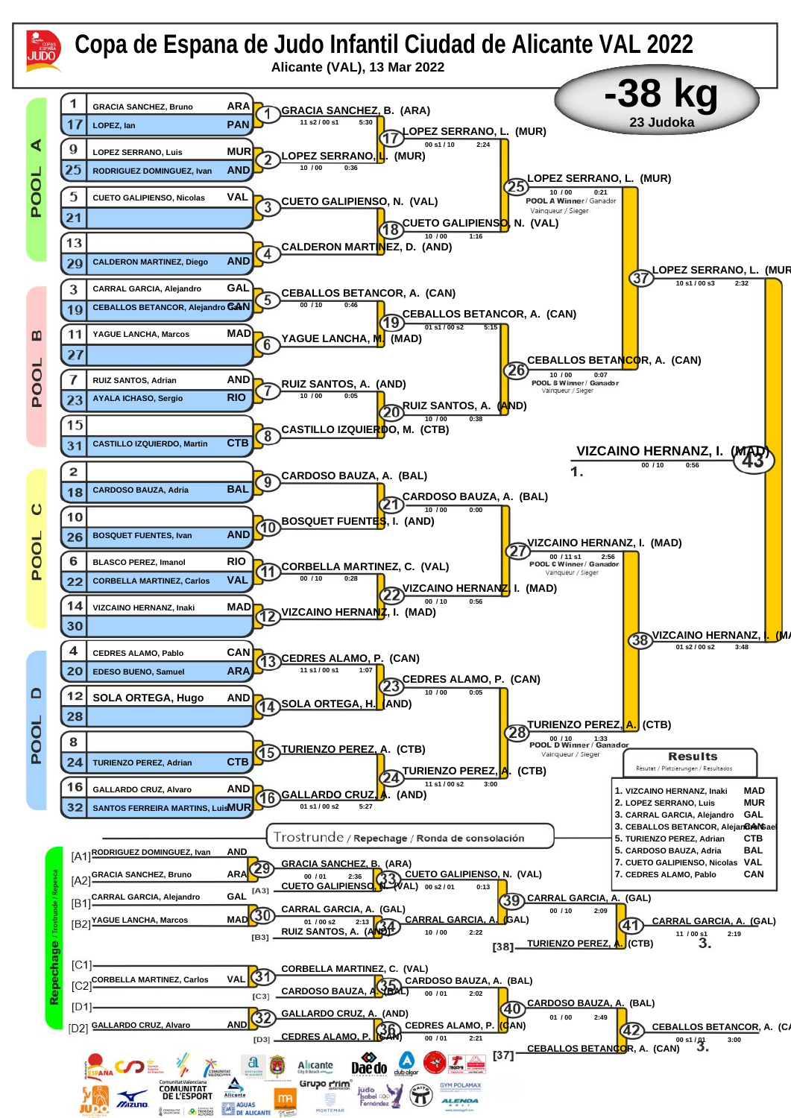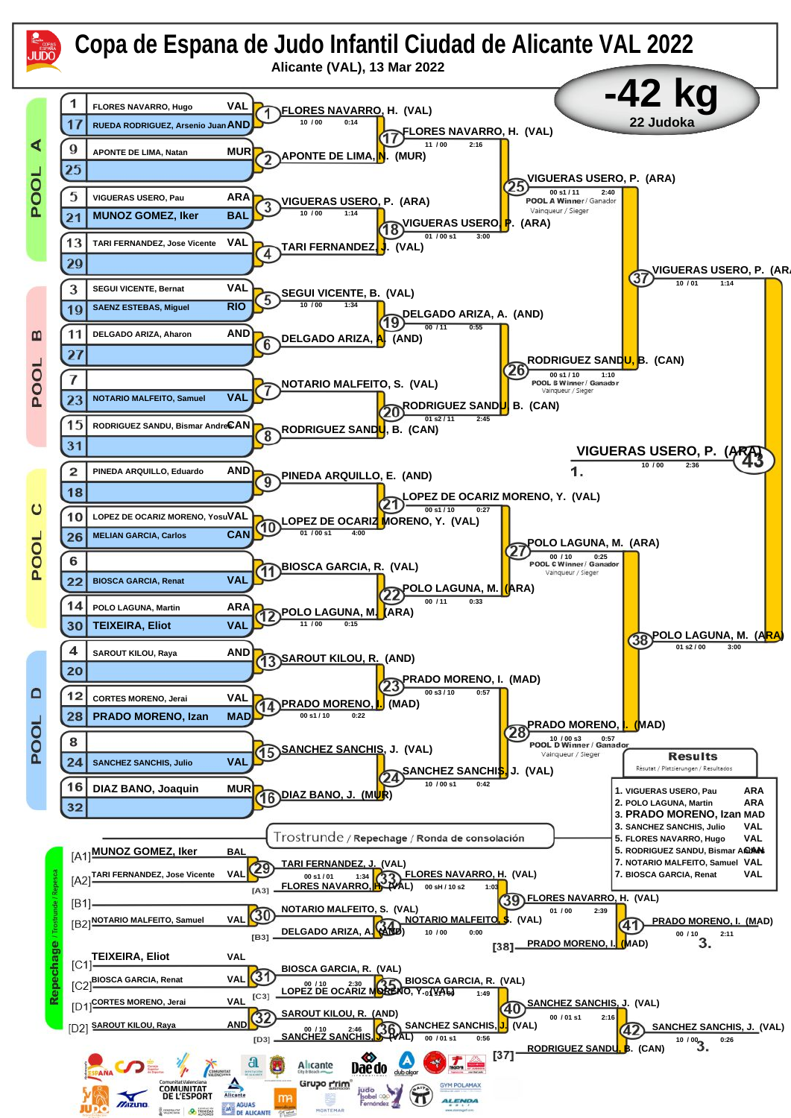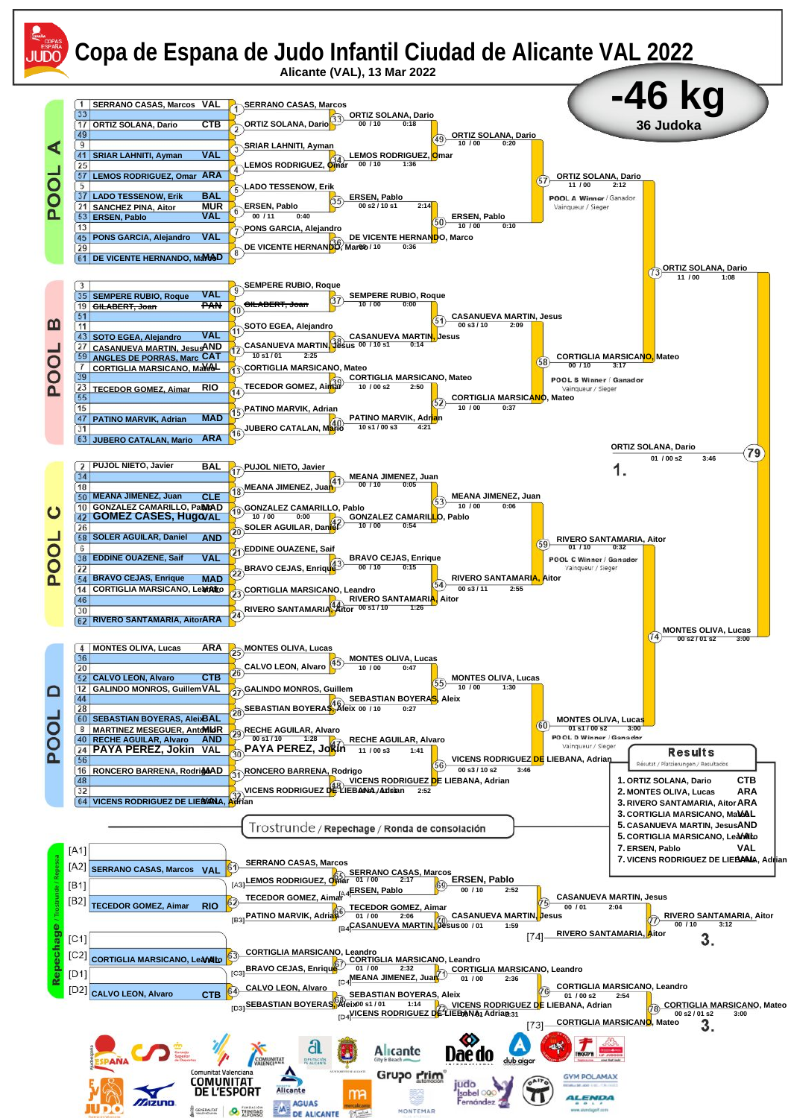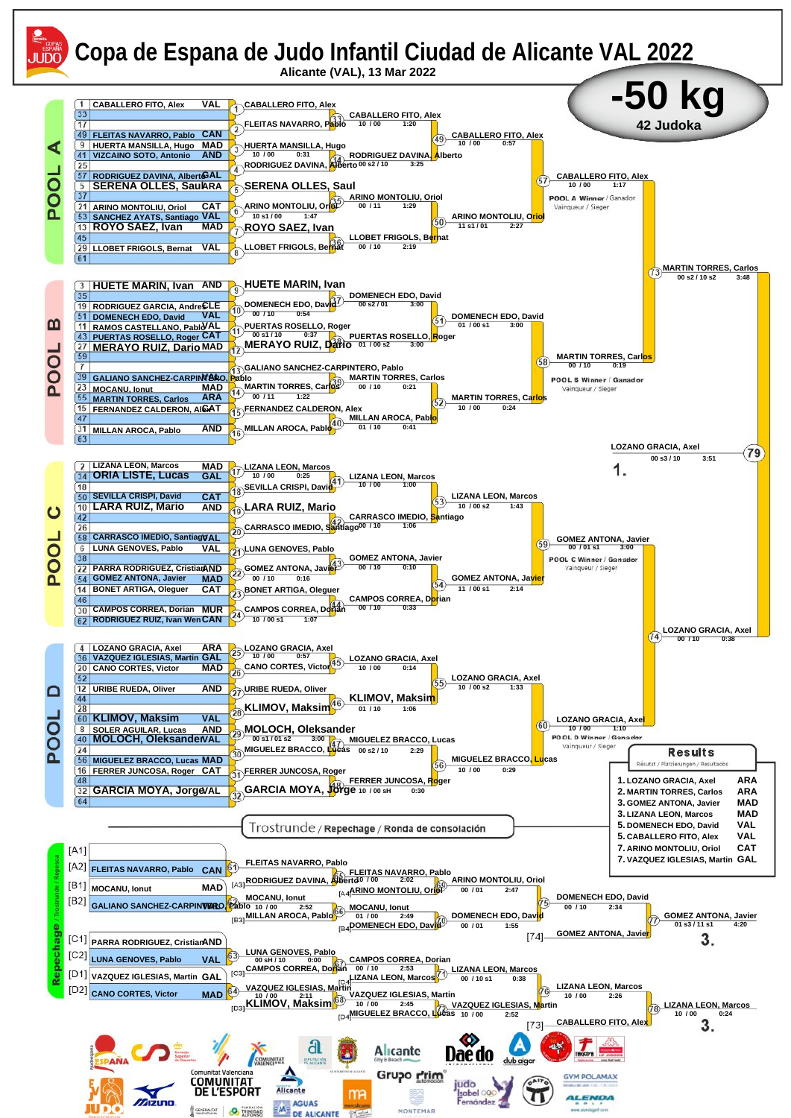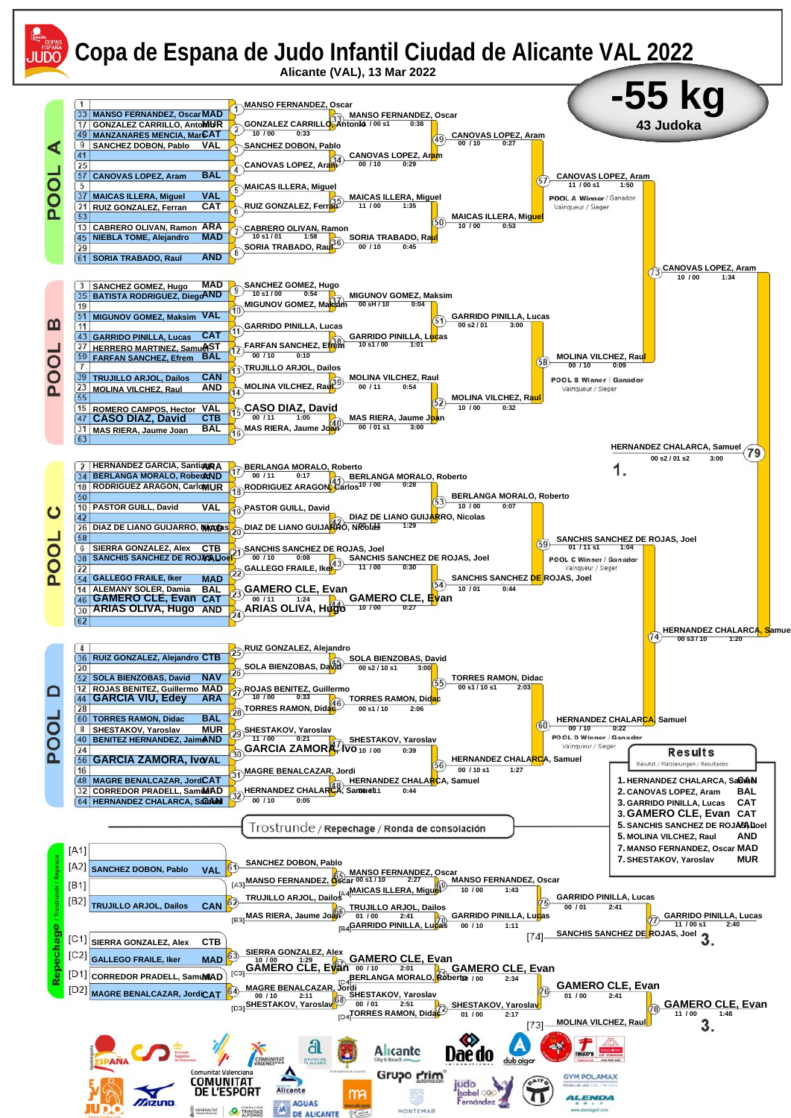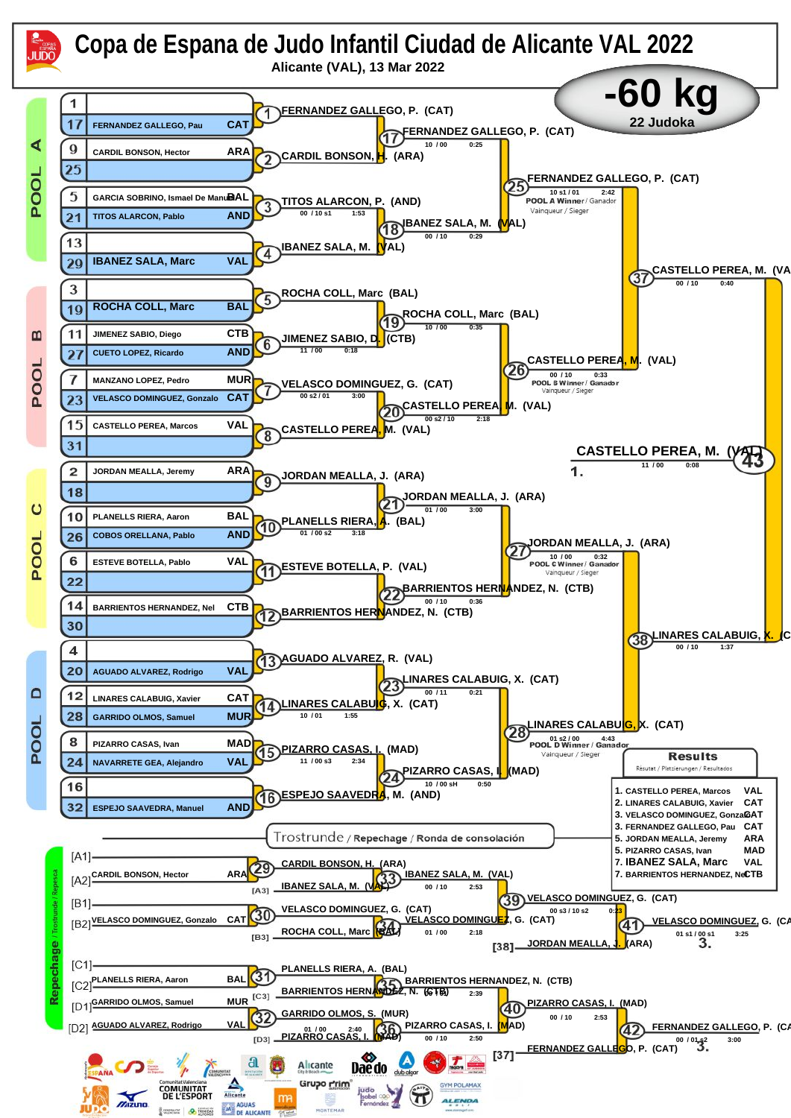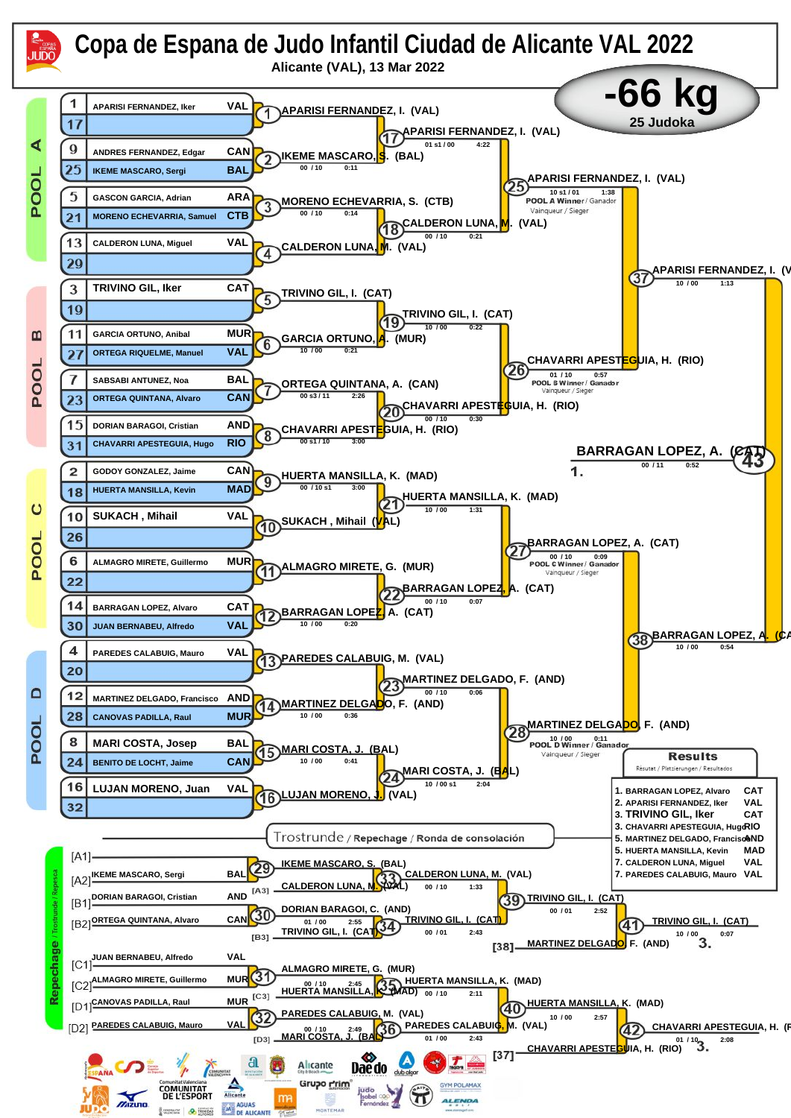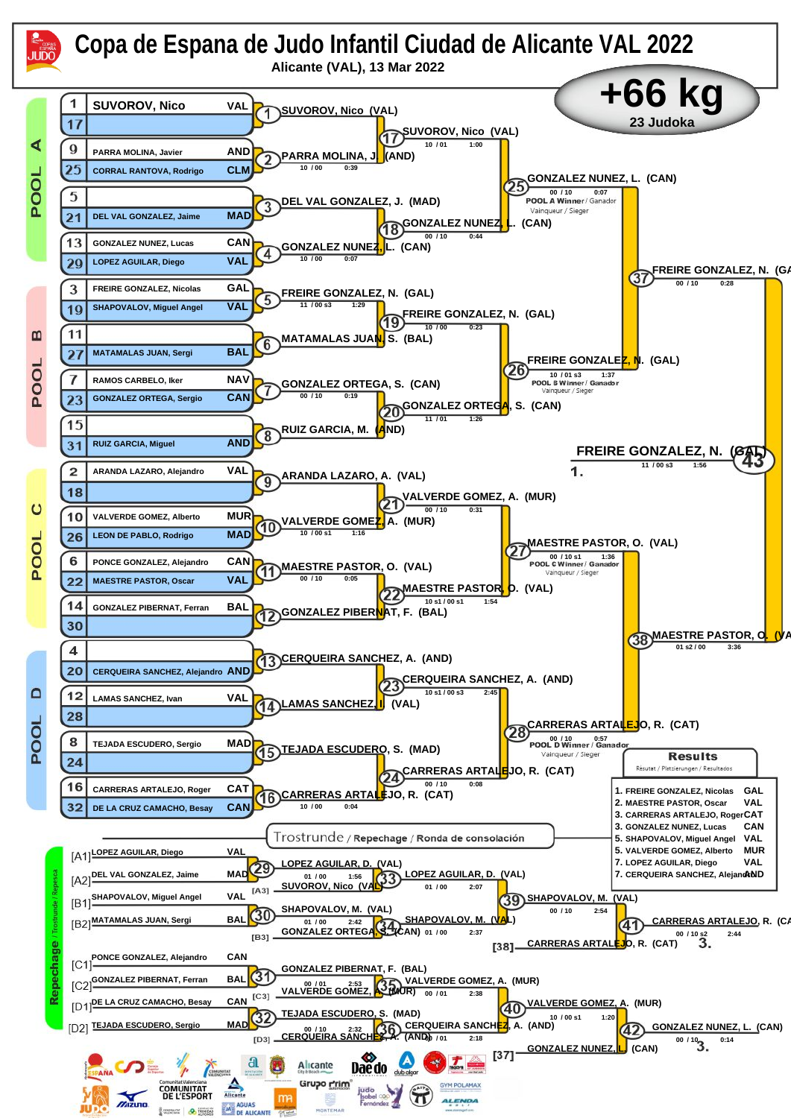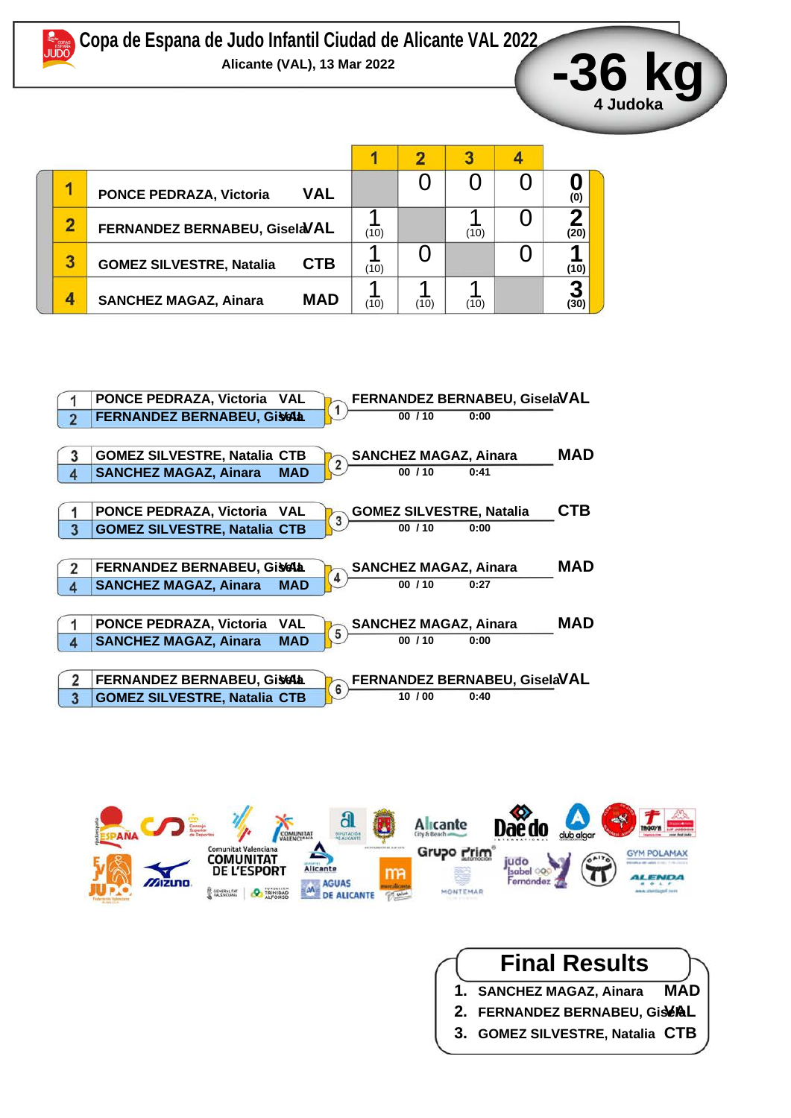

|   | <b>PONCE PEDRAZA, Victoria</b>  | <b>VAL</b>                    |      |      |      | (0)  |
|---|---------------------------------|-------------------------------|------|------|------|------|
|   |                                 | FERNANDEZ BERNABEU, GiselaVAL |      |      | (10) | (20) |
| 3 | <b>GOMEZ SILVESTRE, Natalia</b> | <b>CTB</b>                    | (10) |      |      | (10) |
| Δ | <b>SANCHEZ MAGAZ, Ainara</b>    | <b>MAD</b>                    | '10) | (10) | (10) |      |





## **Final Results**

- **1. SANCHEZ MAGAZ, Ainara MAD**
- 2. FERNANDEZ BERNABEU, GistAL
- **3. GOMEZ SILVESTRE, Natalia CTB**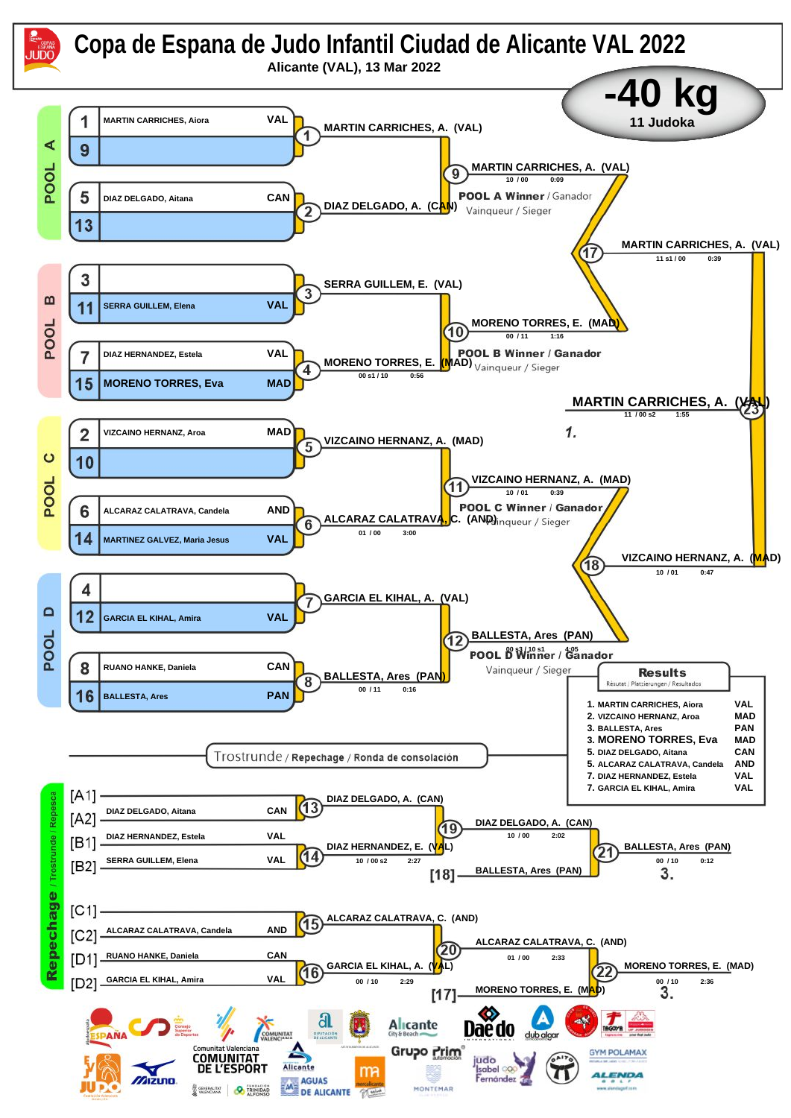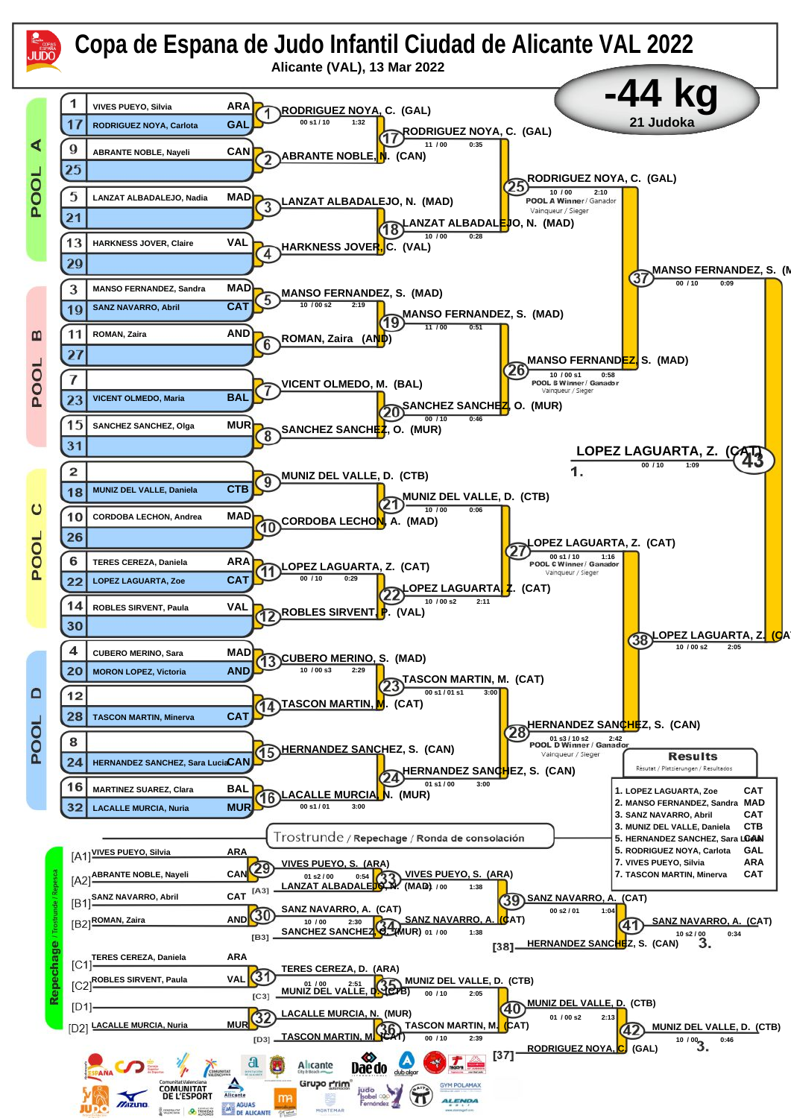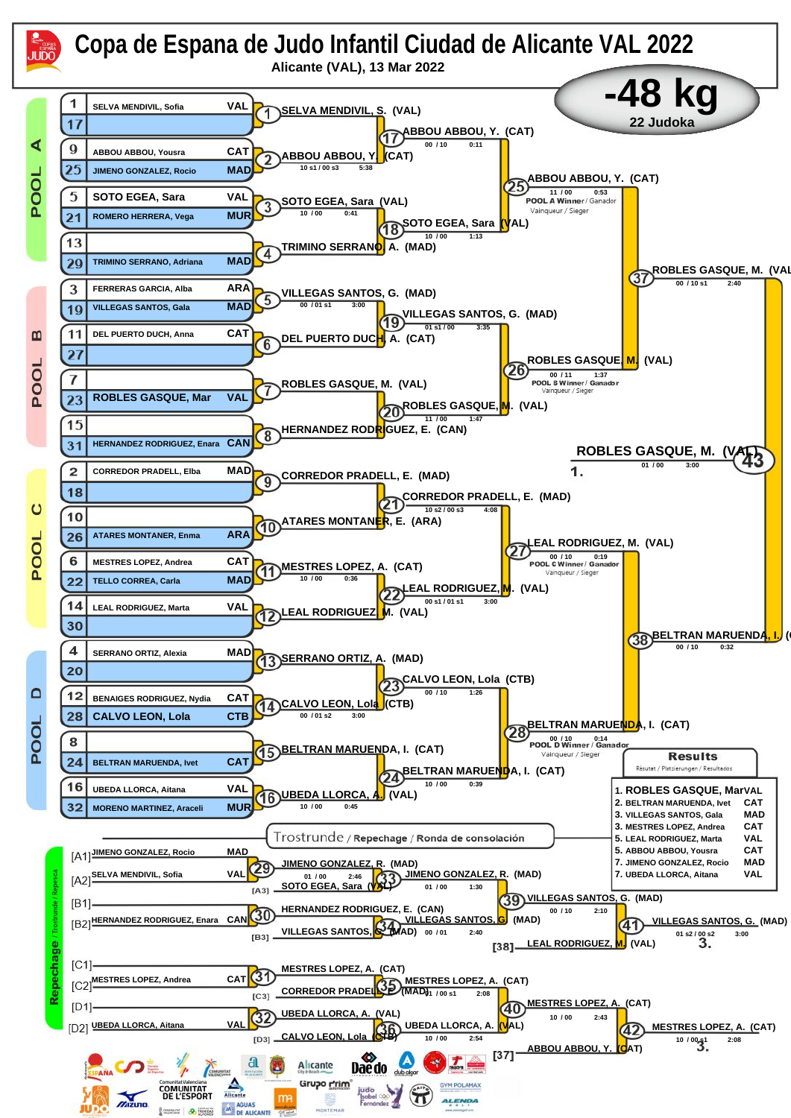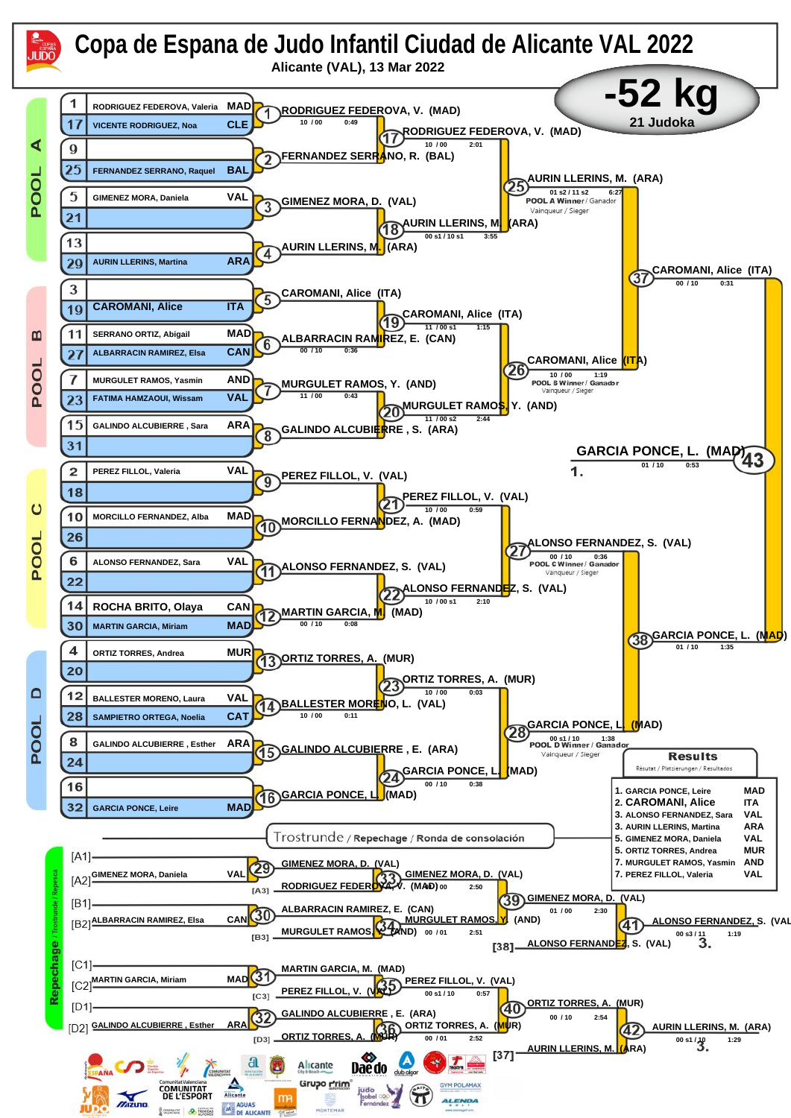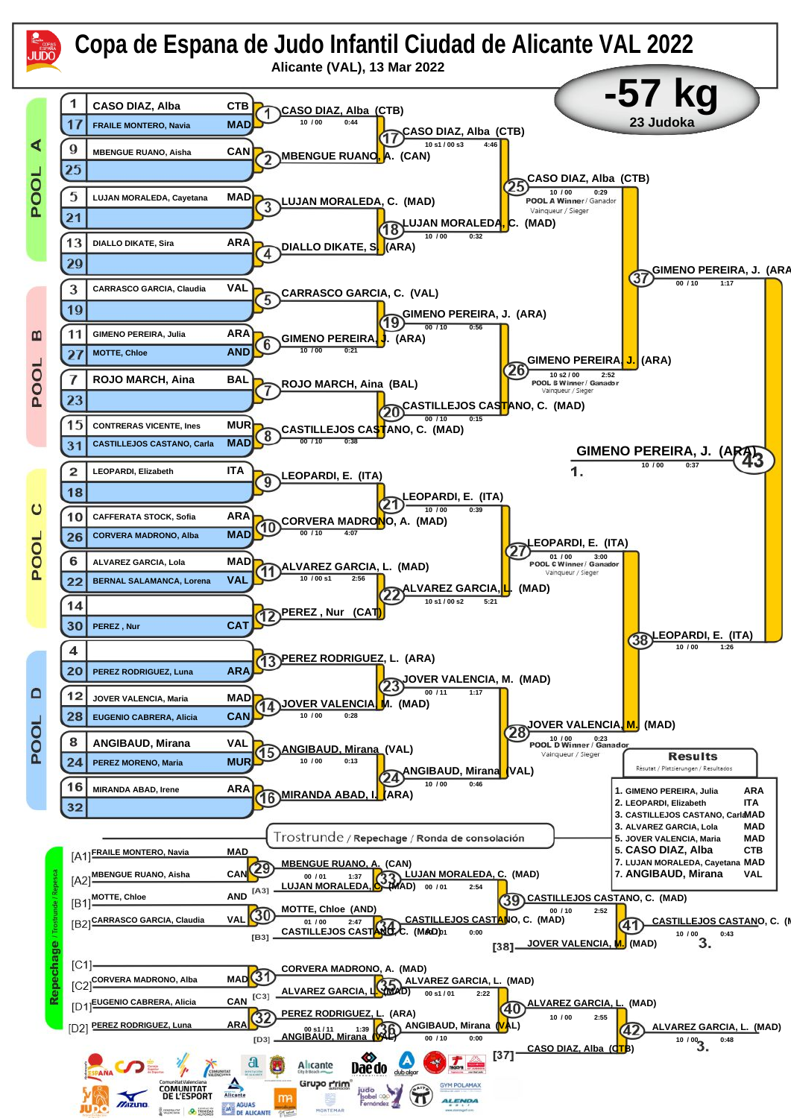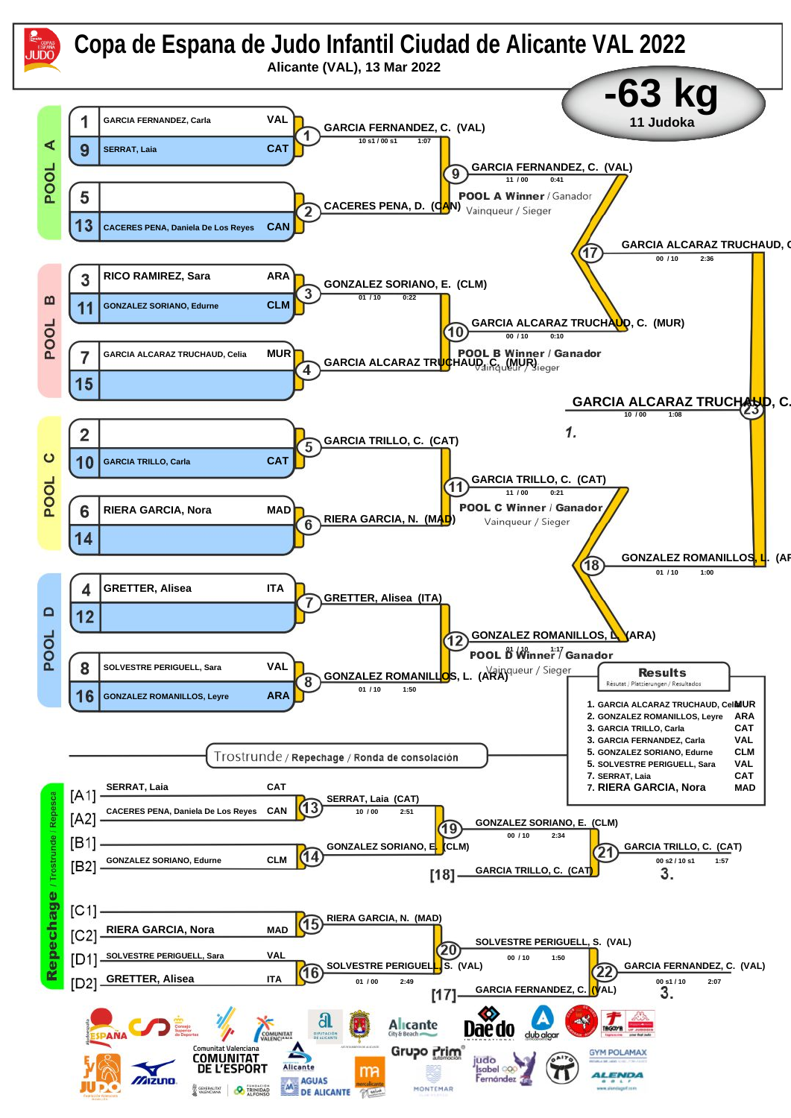